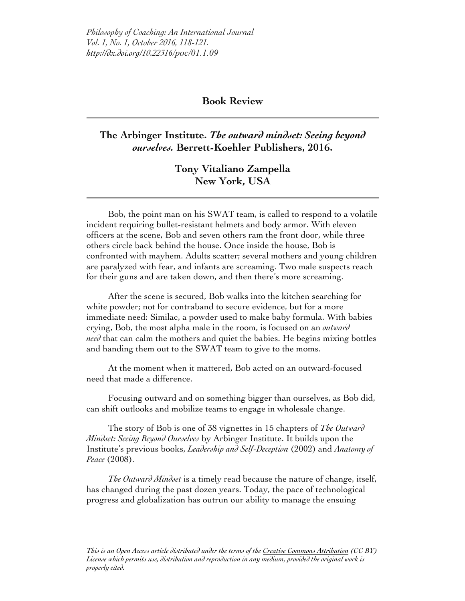*Philosophy of Coaching: An International Journal Vol. 1, No. 1, October 2016, 118-121. http://dx.doi.org/10.22316/poc/01.1.09*

## **Book Review**

## **The Arbinger Institute.** *The outward mindset: Seeing beyond ourselves.* **Berrett-Koehler Publishers, 2016.**

## **Tony Vitaliano Zampella New York, USA**

Bob, the point man on his SWAT team, is called to respond to a volatile incident requiring bullet-resistant helmets and body armor. With eleven officers at the scene, Bob and seven others ram the front door, while three others circle back behind the house. Once inside the house, Bob is confronted with mayhem. Adults scatter; several mothers and young children are paralyzed with fear, and infants are screaming. Two male suspects reach for their guns and are taken down, and then there's more screaming.

After the scene is secured, Bob walks into the kitchen searching for white powder; not for contraband to secure evidence, but for a more immediate need: Similac, a powder used to make baby formula. With babies crying, Bob, the most alpha male in the room, is focused on an *outward need* that can calm the mothers and quiet the babies. He begins mixing bottles and handing them out to the SWAT team to give to the moms.

At the moment when it mattered, Bob acted on an outward-focused need that made a difference.

Focusing outward and on something bigger than ourselves, as Bob did, can shift outlooks and mobilize teams to engage in wholesale change.

The story of Bob is one of 38 vignettes in 15 chapters of *The Outward Mindset: Seeing Beyond Ourselves* by Arbinger Institute. It builds upon the Institute's previous books, *Leadership and Self-Deception* (2002) and *Anatomy of Peace* (2008).

*The Outward Mindset* is a timely read because the nature of change, itself, has changed during the past dozen years. Today, the pace of technological progress and globalization has outrun our ability to manage the ensuing

*This is an Open Access article distributed under the terms of the Creative Commons Attribution (CC BY) License which permits use, distribution and reproduction in any medium, provided the original work is properly cited.*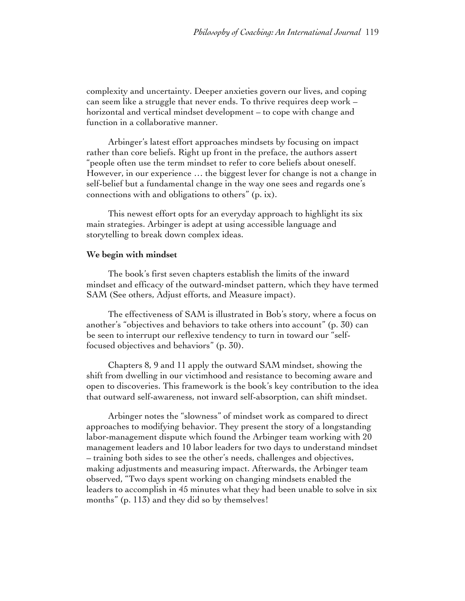complexity and uncertainty. Deeper anxieties govern our lives, and coping can seem like a struggle that never ends. To thrive requires deep work – horizontal and vertical mindset development – to cope with change and function in a collaborative manner.

Arbinger's latest effort approaches mindsets by focusing on impact rather than core beliefs. Right up front in the preface, the authors assert "people often use the term mindset to refer to core beliefs about oneself. However, in our experience … the biggest lever for change is not a change in self-belief but a fundamental change in the way one sees and regards one's connections with and obligations to others" (p. ix).

This newest effort opts for an everyday approach to highlight its six main strategies. Arbinger is adept at using accessible language and storytelling to break down complex ideas.

## **We begin with mindset**

The book's first seven chapters establish the limits of the inward mindset and efficacy of the outward-mindset pattern, which they have termed SAM (See others, Adjust efforts, and Measure impact).

The effectiveness of SAM is illustrated in Bob's story, where a focus on another's "objectives and behaviors to take others into account" (p. 30) can be seen to interrupt our reflexive tendency to turn in toward our "selffocused objectives and behaviors" (p. 30).

Chapters 8, 9 and 11 apply the outward SAM mindset, showing the shift from dwelling in our victimhood and resistance to becoming aware and open to discoveries. This framework is the book's key contribution to the idea that outward self-awareness, not inward self-absorption, can shift mindset.

Arbinger notes the "slowness" of mindset work as compared to direct approaches to modifying behavior. They present the story of a longstanding labor-management dispute which found the Arbinger team working with 20 management leaders and 10 labor leaders for two days to understand mindset – training both sides to see the other's needs, challenges and objectives, making adjustments and measuring impact. Afterwards, the Arbinger team observed, "Two days spent working on changing mindsets enabled the leaders to accomplish in 45 minutes what they had been unable to solve in six months" (p. 113) and they did so by themselves!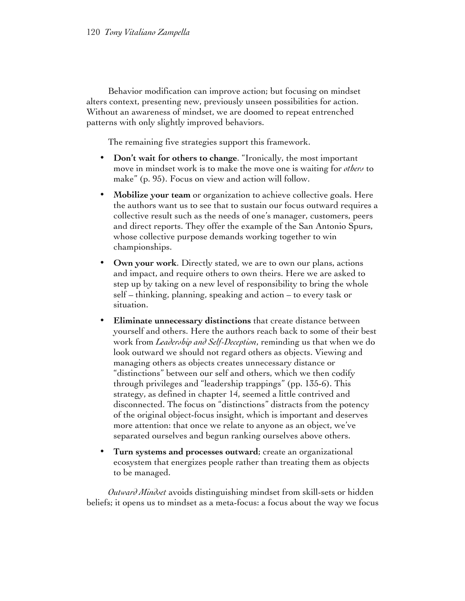Behavior modification can improve action; but focusing on mindset alters context, presenting new, previously unseen possibilities for action. Without an awareness of mindset, we are doomed to repeat entrenched patterns with only slightly improved behaviors.

The remaining five strategies support this framework.

- **Don't wait for others to change**. "Ironically, the most important move in mindset work is to make the move one is waiting for *others* to make" (p. 95). Focus on view and action will follow.
- **Mobilize your team** or organization to achieve collective goals. Here the authors want us to see that to sustain our focus outward requires a collective result such as the needs of one's manager, customers, peers and direct reports. They offer the example of the San Antonio Spurs, whose collective purpose demands working together to win championships.
- **Own your work**. Directly stated, we are to own our plans, actions and impact, and require others to own theirs. Here we are asked to step up by taking on a new level of responsibility to bring the whole self – thinking, planning, speaking and action – to every task or situation.
- **Eliminate unnecessary distinctions** that create distance between yourself and others. Here the authors reach back to some of their best work from *Leadership and Self-Deception*, reminding us that when we do look outward we should not regard others as objects. Viewing and managing others as objects creates unnecessary distance or "distinctions" between our self and others, which we then codify through privileges and "leadership trappings" (pp. 135-6). This strategy, as defined in chapter 14, seemed a little contrived and disconnected. The focus on "distinctions" distracts from the potency of the original object-focus insight, which is important and deserves more attention: that once we relate to anyone as an object, we've separated ourselves and begun ranking ourselves above others.
- **Turn systems and processes outward**; create an organizational ecosystem that energizes people rather than treating them as objects to be managed.

*Outward Mindset* avoids distinguishing mindset from skill-sets or hidden beliefs; it opens us to mindset as a meta-focus: a focus about the way we focus